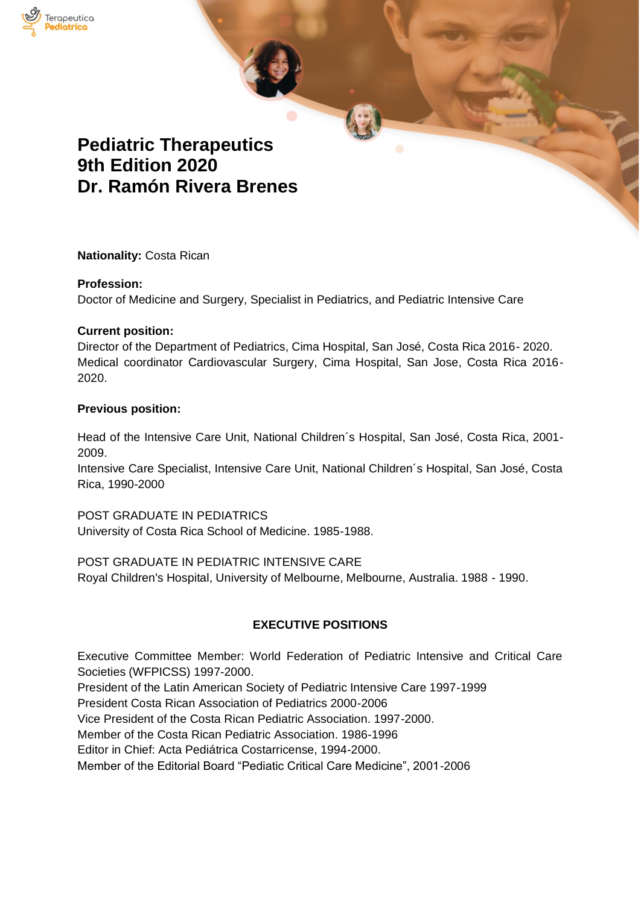

# **Pediatric Therapeutics 9th Edition 2020 Dr. Ramón Rivera Brenes**

**Nationality:** Costa Rican

### **Profession:**

Doctor of Medicine and Surgery, Specialist in Pediatrics, and Pediatric Intensive Care

### **Current position:**

Director of the Department of Pediatrics, Cima Hospital, San José, Costa Rica 2016- 2020. Medical coordinator Cardiovascular Surgery, Cima Hospital, San Jose, Costa Rica 2016- 2020.

### **Previous position:**

Head of the Intensive Care Unit, National Children´s Hospital, San José, Costa Rica, 2001- 2009.

Intensive Care Specialist, Intensive Care Unit, National Children´s Hospital, San José, Costa Rica, 1990-2000

POST GRADUATE IN PEDIATRICS University of Costa Rica School of Medicine. 1985-1988.

POST GRADUATE IN PEDIATRIC INTENSIVE CARE Royal Children's Hospital, University of Melbourne, Melbourne, Australia. 1988 - 1990.

# **EXECUTIVE POSITIONS**

Executive Committee Member: World Federation of Pediatric Intensive and Critical Care Societies (WFPICSS) 1997-2000.

President of the Latin American Society of Pediatric Intensive Care 1997-1999

President Costa Rican Association of Pediatrics 2000-2006

Vice President of the Costa Rican Pediatric Association. 1997-2000.

Member of the Costa Rican Pediatric Association. 1986-1996

Editor in Chief: Acta Pediátrica Costarricense, 1994-2000.

Member of the Editorial Board "Pediatic Critical Care Medicine", 2001-2006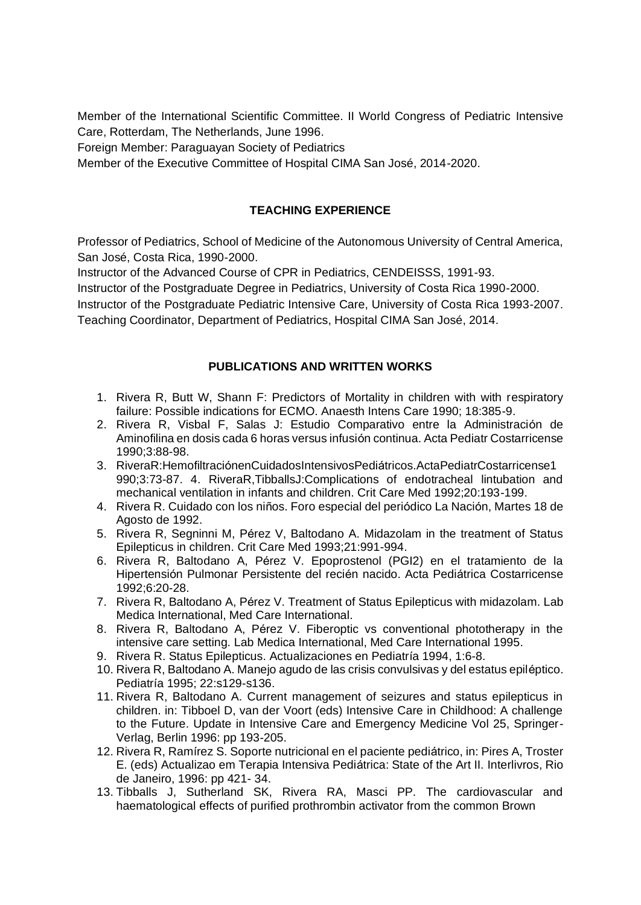Member of the International Scientific Committee. II World Congress of Pediatric Intensive Care, Rotterdam, The Netherlands, June 1996.

Foreign Member: Paraguayan Society of Pediatrics

Member of the Executive Committee of Hospital CIMA San José, 2014-2020.

# **TEACHING EXPERIENCE**

Professor of Pediatrics, School of Medicine of the Autonomous University of Central America, San José, Costa Rica, 1990-2000.

Instructor of the Advanced Course of CPR in Pediatrics, CENDEISSS, 1991-93.

Instructor of the Postgraduate Degree in Pediatrics, University of Costa Rica 1990-2000.

Instructor of the Postgraduate Pediatric Intensive Care, University of Costa Rica 1993-2007. Teaching Coordinator, Department of Pediatrics, Hospital CIMA San José, 2014.

### **PUBLICATIONS AND WRITTEN WORKS**

- 1. Rivera R, Butt W, Shann F: Predictors of Mortality in children with with respiratory failure: Possible indications for ECMO. Anaesth Intens Care 1990; 18:385-9.
- 2. Rivera R, Visbal F, Salas J: Estudio Comparativo entre la Administración de Aminofilina en dosis cada 6 horas versus infusión continua. Acta Pediatr Costarricense 1990;3:88-98.
- 3. RiveraR:HemofiltraciónenCuidadosIntensivosPediátricos.ActaPediatrCostarricense1 990;3:73-87. 4. RiveraR,TibballsJ:Complications of endotracheal lintubation and mechanical ventilation in infants and children. Crit Care Med 1992;20:193-199.
- 4. Rivera R. Cuidado con los niños. Foro especial del periódico La Nación, Martes 18 de Agosto de 1992.
- 5. Rivera R, Segninni M, Pérez V, Baltodano A. Midazolam in the treatment of Status Epilepticus in children. Crit Care Med 1993;21:991-994.
- 6. Rivera R, Baltodano A, Pérez V. Epoprostenol (PGI2) en el tratamiento de la Hipertensión Pulmonar Persistente del recién nacido. Acta Pediátrica Costarricense 1992;6:20-28.
- 7. Rivera R, Baltodano A, Pérez V. Treatment of Status Epilepticus with midazolam. Lab Medica International, Med Care International.
- 8. Rivera R, Baltodano A, Pérez V. Fiberoptic vs conventional phototherapy in the intensive care setting. Lab Medica International, Med Care International 1995.
- 9. Rivera R. Status Epilepticus. Actualizaciones en Pediatría 1994, 1:6-8.
- 10. Rivera R, Baltodano A. Manejo agudo de las crisis convulsivas y del estatus epiléptico. Pediatría 1995; 22:s129-s136.
- 11. Rivera R, Baltodano A. Current management of seizures and status epilepticus in children. in: Tibboel D, van der Voort (eds) Intensive Care in Childhood: A challenge to the Future. Update in Intensive Care and Emergency Medicine Vol 25, Springer-Verlag, Berlin 1996: pp 193-205.
- 12. Rivera R, Ramírez S. Soporte nutricional en el paciente pediátrico, in: Pires A, Troster E. (eds) Actualizao em Terapia Intensiva Pediátrica: State of the Art II. Interlivros, Rio de Janeiro, 1996: pp 421- 34.
- 13. Tibballs J, Sutherland SK, Rivera RA, Masci PP. The cardiovascular and haematological effects of purified prothrombin activator from the common Brown